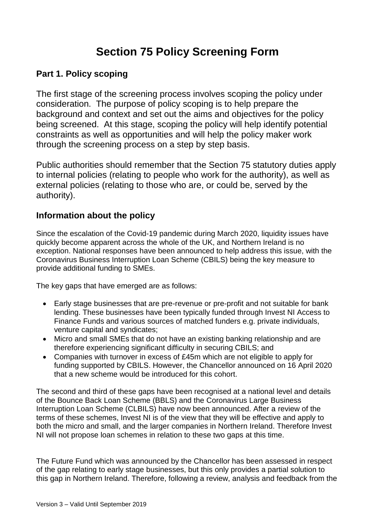# **Section 75 Policy Screening Form**

## **Part 1. Policy scoping**

The first stage of the screening process involves scoping the policy under consideration. The purpose of policy scoping is to help prepare the background and context and set out the aims and objectives for the policy being screened. At this stage, scoping the policy will help identify potential constraints as well as opportunities and will help the policy maker work through the screening process on a step by step basis.

Public authorities should remember that the Section 75 statutory duties apply to internal policies (relating to people who work for the authority), as well as external policies (relating to those who are, or could be, served by the authority).

## **Information about the policy**

Since the escalation of the Covid-19 pandemic during March 2020, liquidity issues have quickly become apparent across the whole of the UK, and Northern Ireland is no exception. National responses have been announced to help address this issue, with the Coronavirus Business Interruption Loan Scheme (CBILS) being the key measure to provide additional funding to SMEs.

The key gaps that have emerged are as follows:

- Early stage businesses that are pre-revenue or pre-profit and not suitable for bank lending. These businesses have been typically funded through Invest NI Access to Finance Funds and various sources of matched funders e.g. private individuals, venture capital and syndicates;
- Micro and small SMEs that do not have an existing banking relationship and are therefore experiencing significant difficulty in securing CBILS; and
- Companies with turnover in excess of £45m which are not eligible to apply for funding supported by CBILS. However, the Chancellor announced on 16 April 2020 that a new scheme would be introduced for this cohort.

The second and third of these gaps have been recognised at a national level and details of the Bounce Back Loan Scheme (BBLS) and the Coronavirus Large Business Interruption Loan Scheme (CLBILS) have now been announced. After a review of the terms of these schemes, Invest NI is of the view that they will be effective and apply to both the micro and small, and the larger companies in Northern Ireland. Therefore Invest NI will not propose loan schemes in relation to these two gaps at this time.

The Future Fund which was announced by the Chancellor has been assessed in respect of the gap relating to early stage businesses, but this only provides a partial solution to this gap in Northern Ireland. Therefore, following a review, analysis and feedback from the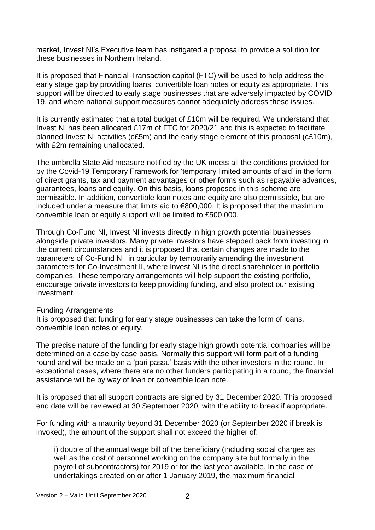market, Invest NI's Executive team has instigated a proposal to provide a solution for these businesses in Northern Ireland.

It is proposed that Financial Transaction capital (FTC) will be used to help address the early stage gap by providing loans, convertible loan notes or equity as appropriate. This support will be directed to early stage businesses that are adversely impacted by COVID 19, and where national support measures cannot adequately address these issues.

It is currently estimated that a total budget of £10m will be required. We understand that Invest NI has been allocated £17m of FTC for 2020/21 and this is expected to facilitate planned Invest NI activities (c£5m) and the early stage element of this proposal (c£10m), with £2m remaining unallocated.

The umbrella State Aid measure notified by the UK meets all the conditions provided for by the Covid-19 Temporary Framework for 'temporary limited amounts of aid' in the form of direct grants, tax and payment advantages or other forms such as repayable advances, guarantees, loans and equity. On this basis, loans proposed in this scheme are permissible. In addition, convertible loan notes and equity are also permissible, but are included under a measure that limits aid to €800,000. It is proposed that the maximum convertible loan or equity support will be limited to £500,000.

Through Co-Fund NI, Invest NI invests directly in high growth potential businesses alongside private investors. Many private investors have stepped back from investing in the current circumstances and it is proposed that certain changes are made to the parameters of Co-Fund NI, in particular by temporarily amending the investment parameters for Co-Investment II, where Invest NI is the direct shareholder in portfolio companies. These temporary arrangements will help support the existing portfolio, encourage private investors to keep providing funding, and also protect our existing investment.

#### Funding Arrangements

It is proposed that funding for early stage businesses can take the form of loans, convertible loan notes or equity.

The precise nature of the funding for early stage high growth potential companies will be determined on a case by case basis. Normally this support will form part of a funding round and will be made on a 'pari passu' basis with the other investors in the round. In exceptional cases, where there are no other funders participating in a round, the financial assistance will be by way of loan or convertible loan note.

It is proposed that all support contracts are signed by 31 December 2020. This proposed end date will be reviewed at 30 September 2020, with the ability to break if appropriate.

For funding with a maturity beyond 31 December 2020 (or September 2020 if break is invoked), the amount of the support shall not exceed the higher of:

i) double of the annual wage bill of the beneficiary (including social charges as well as the cost of personnel working on the company site but formally in the payroll of subcontractors) for 2019 or for the last year available. In the case of undertakings created on or after 1 January 2019, the maximum financial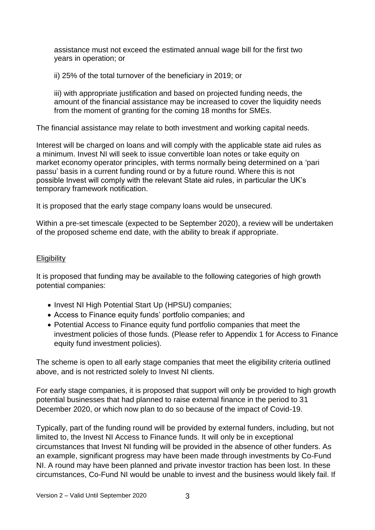assistance must not exceed the estimated annual wage bill for the first two years in operation; or

ii) 25% of the total turnover of the beneficiary in 2019; or

iii) with appropriate justification and based on projected funding needs, the amount of the financial assistance may be increased to cover the liquidity needs from the moment of granting for the coming 18 months for SMEs.

The financial assistance may relate to both investment and working capital needs.

Interest will be charged on loans and will comply with the applicable state aid rules as a minimum. Invest NI will seek to issue convertible loan notes or take equity on market economy operator principles, with terms normally being determined on a 'pari passu' basis in a current funding round or by a future round. Where this is not possible Invest will comply with the relevant State aid rules, in particular the UK's temporary framework notification.

It is proposed that the early stage company loans would be unsecured.

Within a pre-set timescale (expected to be September 2020), a review will be undertaken of the proposed scheme end date, with the ability to break if appropriate.

### **Eligibility**

It is proposed that funding may be available to the following categories of high growth potential companies:

- Invest NI High Potential Start Up (HPSU) companies;
- Access to Finance equity funds' portfolio companies; and
- Potential Access to Finance equity fund portfolio companies that meet the investment policies of those funds. (Please refer to Appendix 1 for Access to Finance equity fund investment policies).

The scheme is open to all early stage companies that meet the eligibility criteria outlined above, and is not restricted solely to Invest NI clients.

For early stage companies, it is proposed that support will only be provided to high growth potential businesses that had planned to raise external finance in the period to 31 December 2020, or which now plan to do so because of the impact of Covid-19.

Typically, part of the funding round will be provided by external funders, including, but not limited to, the Invest NI Access to Finance funds. It will only be in exceptional circumstances that Invest NI funding will be provided in the absence of other funders. As an example, significant progress may have been made through investments by Co-Fund NI. A round may have been planned and private investor traction has been lost. In these circumstances, Co-Fund NI would be unable to invest and the business would likely fail. If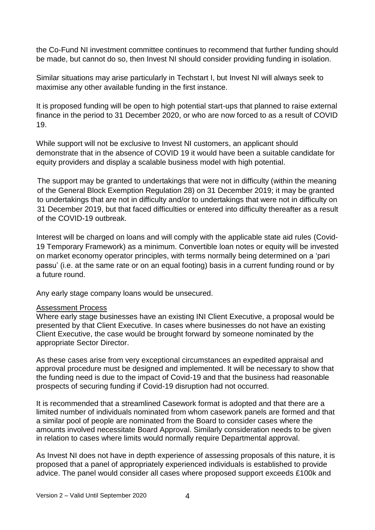the Co-Fund NI investment committee continues to recommend that further funding should be made, but cannot do so, then Invest NI should consider providing funding in isolation.

Similar situations may arise particularly in Techstart I, but Invest NI will always seek to maximise any other available funding in the first instance.

It is proposed funding will be open to high potential start-ups that planned to raise external finance in the period to 31 December 2020, or who are now forced to as a result of COVID 19.

While support will not be exclusive to Invest NI customers, an applicant should demonstrate that in the absence of COVID 19 it would have been a suitable candidate for equity providers and display a scalable business model with high potential.

The support may be granted to undertakings that were not in difficulty (within the meaning of the General Block Exemption Regulation 28) on 31 December 2019; it may be granted to undertakings that are not in difficulty and/or to undertakings that were not in difficulty on 31 December 2019, but that faced difficulties or entered into difficulty thereafter as a result of the COVID-19 outbreak.

Interest will be charged on loans and will comply with the applicable state aid rules (Covid-19 Temporary Framework) as a minimum. Convertible loan notes or equity will be invested on market economy operator principles, with terms normally being determined on a 'pari passu' (i.e. at the same rate or on an equal footing) basis in a current funding round or by a future round.

Any early stage company loans would be unsecured.

#### Assessment Process

Where early stage businesses have an existing INI Client Executive, a proposal would be presented by that Client Executive. In cases where businesses do not have an existing Client Executive, the case would be brought forward by someone nominated by the appropriate Sector Director.

As these cases arise from very exceptional circumstances an expedited appraisal and approval procedure must be designed and implemented. It will be necessary to show that the funding need is due to the impact of Covid-19 and that the business had reasonable prospects of securing funding if Covid-19 disruption had not occurred.

It is recommended that a streamlined Casework format is adopted and that there are a limited number of individuals nominated from whom casework panels are formed and that a similar pool of people are nominated from the Board to consider cases where the amounts involved necessitate Board Approval. Similarly consideration needs to be given in relation to cases where limits would normally require Departmental approval.

As Invest NI does not have in depth experience of assessing proposals of this nature, it is proposed that a panel of appropriately experienced individuals is established to provide advice. The panel would consider all cases where proposed support exceeds £100k and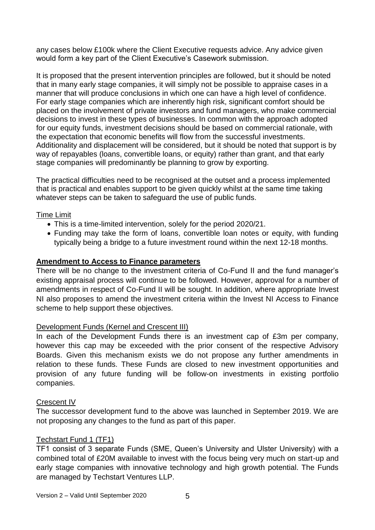any cases below £100k where the Client Executive requests advice. Any advice given would form a key part of the Client Executive's Casework submission.

It is proposed that the present intervention principles are followed, but it should be noted that in many early stage companies, it will simply not be possible to appraise cases in a manner that will produce conclusions in which one can have a high level of confidence. For early stage companies which are inherently high risk, significant comfort should be placed on the involvement of private investors and fund managers, who make commercial decisions to invest in these types of businesses. In common with the approach adopted for our equity funds, investment decisions should be based on commercial rationale, with the expectation that economic benefits will flow from the successful investments. Additionality and displacement will be considered, but it should be noted that support is by way of repayables (loans, convertible loans, or equity) rather than grant, and that early stage companies will predominantly be planning to grow by exporting.

The practical difficulties need to be recognised at the outset and a process implemented that is practical and enables support to be given quickly whilst at the same time taking whatever steps can be taken to safeguard the use of public funds.

### Time Limit

- This is a time-limited intervention, solely for the period 2020/21.
- Funding may take the form of loans, convertible loan notes or equity, with funding typically being a bridge to a future investment round within the next 12-18 months.

### **Amendment to Access to Finance parameters**

There will be no change to the investment criteria of Co-Fund II and the fund manager's existing appraisal process will continue to be followed. However, approval for a number of amendments in respect of Co-Fund II will be sought. In addition, where appropriate Invest NI also proposes to amend the investment criteria within the Invest NI Access to Finance scheme to help support these objectives.

#### Development Funds (Kernel and Crescent III)

In each of the Development Funds there is an investment cap of £3m per company, however this cap may be exceeded with the prior consent of the respective Advisory Boards. Given this mechanism exists we do not propose any further amendments in relation to these funds. These Funds are closed to new investment opportunities and provision of any future funding will be follow-on investments in existing portfolio companies.

#### Crescent IV

The successor development fund to the above was launched in September 2019. We are not proposing any changes to the fund as part of this paper.

### Techstart Fund 1 (TF1)

TF1 consist of 3 separate Funds (SME, Queen's University and Ulster University) with a combined total of £20M available to invest with the focus being very much on start-up and early stage companies with innovative technology and high growth potential. The Funds are managed by Techstart Ventures LLP.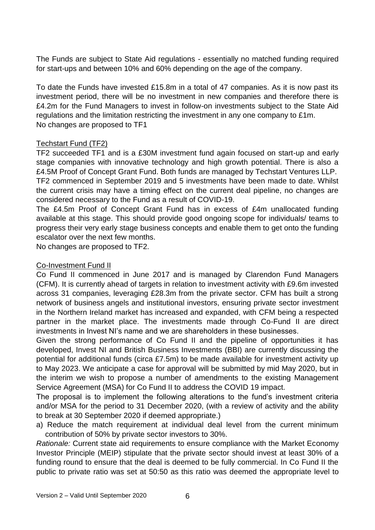The Funds are subject to State Aid regulations - essentially no matched funding required for start-ups and between 10% and 60% depending on the age of the company.

To date the Funds have invested £15.8m in a total of 47 companies. As it is now past its investment period, there will be no investment in new companies and therefore there is £4.2m for the Fund Managers to invest in follow-on investments subject to the State Aid regulations and the limitation restricting the investment in any one company to £1m. No changes are proposed to TF1

#### Techstart Fund (TF2)

TF2 succeeded TF1 and is a £30M investment fund again focused on start-up and early stage companies with innovative technology and high growth potential. There is also a £4.5M Proof of Concept Grant Fund. Both funds are managed by Techstart Ventures LLP. TF2 commenced in September 2019 and 5 investments have been made to date. Whilst the current crisis may have a timing effect on the current deal pipeline, no changes are considered necessary to the Fund as a result of COVID-19.

The £4.5m Proof of Concept Grant Fund has in excess of £4m unallocated funding available at this stage. This should provide good ongoing scope for individuals/ teams to progress their very early stage business concepts and enable them to get onto the funding escalator over the next few months.

No changes are proposed to TF2.

#### Co-Investment Fund II

Co Fund II commenced in June 2017 and is managed by Clarendon Fund Managers (CFM). It is currently ahead of targets in relation to investment activity with £9.6m invested across 31 companies, leveraging £28.3m from the private sector. CFM has built a strong network of business angels and institutional investors, ensuring private sector investment in the Northern Ireland market has increased and expanded, with CFM being a respected partner in the market place. The investments made through Co-Fund II are direct investments in Invest NI's name and we are shareholders in these businesses.

Given the strong performance of Co Fund II and the pipeline of opportunities it has developed, Invest NI and British Business Investments (BBI) are currently discussing the potential for additional funds (circa £7.5m) to be made available for investment activity up to May 2023. We anticipate a case for approval will be submitted by mid May 2020, but in the interim we wish to propose a number of amendments to the existing Management Service Agreement (MSA) for Co Fund II to address the COVID 19 impact.

The proposal is to implement the following alterations to the fund's investment criteria and/or MSA for the period to 31 December 2020, (with a review of activity and the ability to break at 30 September 2020 if deemed appropriate.)

a) Reduce the match requirement at individual deal level from the current minimum contribution of 50% by private sector investors to 30%.

*Rationale:* Current state aid requirements to ensure compliance with the Market Economy Investor Principle (MEIP) stipulate that the private sector should invest at least 30% of a funding round to ensure that the deal is deemed to be fully commercial. In Co Fund II the public to private ratio was set at 50:50 as this ratio was deemed the appropriate level to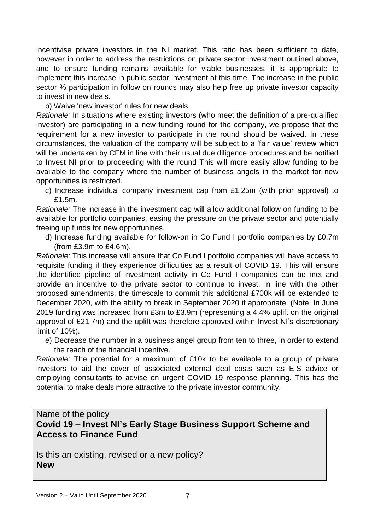incentivise private investors in the NI market. This ratio has been sufficient to date, however in order to address the restrictions on private sector investment outlined above, and to ensure funding remains available for viable businesses, it is appropriate to implement this increase in public sector investment at this time. The increase in the public sector % participation in follow on rounds may also help free up private investor capacity to invest in new deals.

b) Waive 'new investor' rules for new deals.

*Rationale:* In situations where existing investors (who meet the definition of a pre-qualified investor) are participating in a new funding round for the company, we propose that the requirement for a new investor to participate in the round should be waived. In these circumstances, the valuation of the company will be subject to a 'fair value' review which will be undertaken by CFM in line with their usual due diligence procedures and be notified to Invest NI prior to proceeding with the round This will more easily allow funding to be available to the company where the number of business angels in the market for new opportunities is restricted.

c) Increase individual company investment cap from £1.25m (with prior approval) to £1.5m.

*Rationale:* The increase in the investment cap will allow additional follow on funding to be available for portfolio companies, easing the pressure on the private sector and potentially freeing up funds for new opportunities.

d) Increase funding available for follow-on in Co Fund I portfolio companies by £0.7m (from £3.9m to £4.6m).

*Rationale:* This increase will ensure that Co Fund I portfolio companies will have access to requisite funding if they experience difficulties as a result of COVID 19. This will ensure the identified pipeline of investment activity in Co Fund I companies can be met and provide an incentive to the private sector to continue to invest. In line with the other proposed amendments, the timescale to commit this additional £700k will be extended to December 2020, with the ability to break in September 2020 if appropriate. (Note: In June 2019 funding was increased from £3m to £3.9m (representing a 4.4% uplift on the original approval of £21.7m) and the uplift was therefore approved within Invest NI's discretionary limit of 10%).

e) Decrease the number in a business angel group from ten to three, in order to extend the reach of the financial incentive.

*Rationale:* The potential for a maximum of £10k to be available to a group of private investors to aid the cover of associated external deal costs such as EIS advice or employing consultants to advise on urgent COVID 19 response planning. This has the potential to make deals more attractive to the private investor community.

### Name of the policy **Covid 19 – Invest NI's Early Stage Business Support Scheme and Access to Finance Fund**

Is this an existing, revised or a new policy? **New**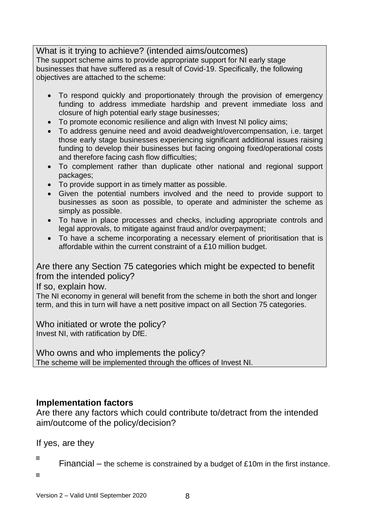What is it trying to achieve? (intended aims/outcomes) The support scheme aims to provide appropriate support for NI early stage businesses that have suffered as a result of Covid-19. Specifically, the following objectives are attached to the scheme:

- To respond quickly and proportionately through the provision of emergency funding to address immediate hardship and prevent immediate loss and closure of high potential early stage businesses;
- To promote economic resilience and align with Invest NI policy aims;
- To address genuine need and avoid deadweight/overcompensation, i.e. target those early stage businesses experiencing significant additional issues raising funding to develop their businesses but facing ongoing fixed/operational costs and therefore facing cash flow difficulties;
- To complement rather than duplicate other national and regional support packages;
- To provide support in as timely matter as possible.
- Given the potential numbers involved and the need to provide support to businesses as soon as possible, to operate and administer the scheme as simply as possible.
- To have in place processes and checks, including appropriate controls and legal approvals, to mitigate against fraud and/or overpayment;
- To have a scheme incorporating a necessary element of prioritisation that is affordable within the current constraint of a £10 million budget.

Are there any Section 75 categories which might be expected to benefit from the intended policy?

If so, explain how.

The NI economy in general will benefit from the scheme in both the short and longer term, and this in turn will have a nett positive impact on all Section 75 categories.

Who initiated or wrote the policy? Invest NI, with ratification by DfE.

Who owns and who implements the policy? The scheme will be implemented through the offices of Invest NI.

### **Implementation factors**

Are there any factors which could contribute to/detract from the intended aim/outcome of the policy/decision?

If yes, are they

 $\Box$ 

Financial – the scheme is constrained by a budget of £10m in the first instance.

 $\blacksquare$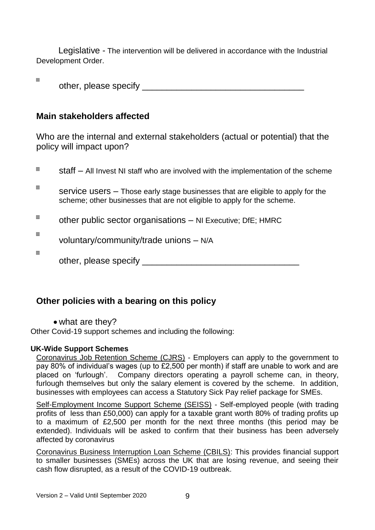Legislative - The intervention will be delivered in accordance with the Industrial Development Order.

other, please specify **of the set of the set of the set of the set of the set of the set of the set of the set of the set of the set of the set of the set of the set of the set of the set of the set of the set of the set o** 

### **Main stakeholders affected**

 $\blacksquare$ 

Who are the internal and external stakeholders (actual or potential) that the policy will impact upon?

| Ш      | $\text{staff} - \text{All}$ Invest NI staff who are involved with the implementation of the scheme                                                         |
|--------|------------------------------------------------------------------------------------------------------------------------------------------------------------|
| $\Box$ | service users – Those early stage businesses that are eligible to apply for the<br>scheme; other businesses that are not eligible to apply for the scheme. |
| o      | other public sector organisations - NI Executive; DfE; HMRC                                                                                                |
| o      | voluntary/community/trade unions - N/A                                                                                                                     |
| O      | other, please specify                                                                                                                                      |

## **Other policies with a bearing on this policy**

• what are they?

Other Covid-19 support schemes and including the following:

### **UK-Wide Support Schemes**

Coronavirus Job Retention Scheme (CJRS) - Employers can apply to the government to pay 80% of individual's wages (up to £2,500 per month) if staff are unable to work and are placed on 'furlough'. Company directors operating a payroll scheme can, in theory, furlough themselves but only the salary element is covered by the scheme. In addition, businesses with employees can access a Statutory Sick Pay relief package for SMEs.

Self-Employment Income Support Scheme (SEISS) - Self-employed people (with trading profits of less than £50,000) can apply for a taxable grant worth 80% of trading profits up to a maximum of £2,500 per month for the next three months (this period may be extended). Individuals will be asked to confirm that their business has been adversely affected by coronavirus

Coronavirus Business Interruption Loan Scheme (CBILS): This provides financial support to smaller businesses (SMEs) across the UK that are losing revenue, and seeing their cash flow disrupted, as a result of the COVID-19 outbreak.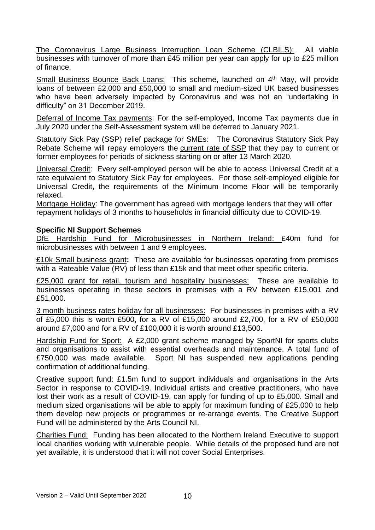The Coronavirus Large Business Interruption Loan Scheme (CLBILS): All viable businesses with turnover of more than £45 million per year can apply for up to £25 million of finance.

Small Business Bounce Back Loans: This scheme, launched on 4<sup>th</sup> May, will provide loans of between £2,000 and £50,000 to small and medium-sized UK based businesses who have been adversely impacted by Coronavirus and was not an "undertaking in difficulty" on 31 December 2019.

Deferral of Income Tax payments: For the self-employed, Income Tax payments due in July 2020 under the Self-Assessment system will be deferred to January 2021.

Statutory Sick Pay (SSP) relief package for SMEs: The Coronavirus Statutory Sick Pay Rebate Scheme will repay employers the [current](https://www.gov.uk/statutory-sick-pay) rate of SSP that they pay to current or former employees for periods of sickness starting on or after 13 March 2020.

Universal Credit: Every self-employed person will be able to access Universal Credit at a rate equivalent to Statutory Sick Pay for employees. For those self-employed eligible for Universal Credit, the requirements of the Minimum Income Floor will be temporarily relaxed.

Mortgage Holiday: The government has agreed with mortgage lenders that they will offer repayment holidays of 3 months to households in financial difficulty due to COVID-19.

#### **Specific NI Support Schemes**

DfE Hardship Fund for Microbusinesses in Northern Ireland: £40m fund for microbusinesses with between 1 and 9 employees.

£10k Small business grant**:** These are available for businesses operating from premises with a Rateable Value (RV) of less than £15k and that meet other specific criteria.

£25,000 grant for retail, tourism and hospitality businesses:These are available to businesses operating in these sectors in premises with a RV between £15,001 and £51,000.

3 month business rates holiday for all businesses: For businesses in premises with a RV of £5,000 this is worth £500, for a RV of £15,000 around £2,700, for a RV of £50,000 around £7,000 and for a RV of £100,000 it is worth around £13,500.

Hardship Fund for Sport: A £2,000 grant scheme managed by SportNI for sports clubs and organisations to assist with essential overheads and maintenance. A total fund of £750,000 was made available. Sport NI has suspended new applications pending confirmation of additional funding.

Creative support fund: £1.5m fund to support individuals and organisations in the Arts Sector in response to COVID-19. Individual artists and creative practitioners, who have lost their work as a result of COVID-19, can apply for funding of up to £5,000. Small and medium sized organisations will be able to apply for maximum funding of £25,000 to help them develop new projects or programmes or re-arrange events. The Creative Support Fund will be administered by the Arts Council NI.

Charities Fund:Funding has been allocated to the Northern Ireland Executive to support local charities working with vulnerable people. While details of the proposed fund are not yet available, it is understood that it will not cover Social Enterprises.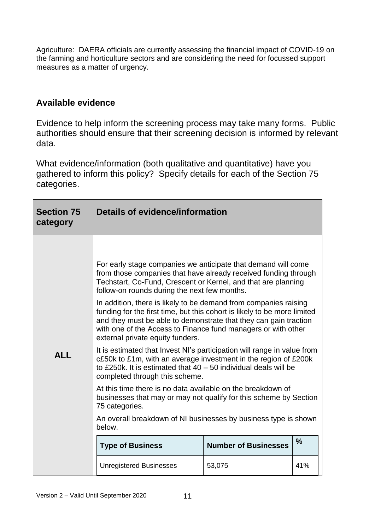Agriculture:DAERA officials are currently assessing the financial impact of COVID-19 on the farming and horticulture sectors and are considering the need for focussed support measures as a matter of urgency.

### **Available evidence**

Evidence to help inform the screening process may take many forms. Public authorities should ensure that their screening decision is informed by relevant data.

What evidence/information (both qualitative and quantitative) have you gathered to inform this policy? Specify details for each of the Section 75 categories.

| <b>Section 75</b><br>category | Details of evidence/information                                                                                                                                                                                                                                                                                                                                                                                                                                                                                                                                                                                                                                                                                                  |                             |               |
|-------------------------------|----------------------------------------------------------------------------------------------------------------------------------------------------------------------------------------------------------------------------------------------------------------------------------------------------------------------------------------------------------------------------------------------------------------------------------------------------------------------------------------------------------------------------------------------------------------------------------------------------------------------------------------------------------------------------------------------------------------------------------|-----------------------------|---------------|
|                               |                                                                                                                                                                                                                                                                                                                                                                                                                                                                                                                                                                                                                                                                                                                                  |                             |               |
|                               | For early stage companies we anticipate that demand will come<br>from those companies that have already received funding through<br>Techstart, Co-Fund, Crescent or Kernel, and that are planning<br>follow-on rounds during the next few months.                                                                                                                                                                                                                                                                                                                                                                                                                                                                                |                             |               |
|                               | In addition, there is likely to be demand from companies raising<br>funding for the first time, but this cohort is likely to be more limited<br>and they must be able to demonstrate that they can gain traction<br>with one of the Access to Finance fund managers or with other<br>external private equity funders.<br>It is estimated that Invest NI's participation will range in value from<br>c£50k to £1m, with an average investment in the region of £200k<br>to £250k. It is estimated that $40 - 50$ individual deals will be<br>completed through this scheme.<br>At this time there is no data available on the breakdown of<br>businesses that may or may not qualify for this scheme by Section<br>75 categories. |                             |               |
| <b>ALL</b>                    |                                                                                                                                                                                                                                                                                                                                                                                                                                                                                                                                                                                                                                                                                                                                  |                             |               |
|                               |                                                                                                                                                                                                                                                                                                                                                                                                                                                                                                                                                                                                                                                                                                                                  |                             |               |
|                               | An overall breakdown of NI businesses by business type is shown<br>below.                                                                                                                                                                                                                                                                                                                                                                                                                                                                                                                                                                                                                                                        |                             |               |
|                               | <b>Type of Business</b>                                                                                                                                                                                                                                                                                                                                                                                                                                                                                                                                                                                                                                                                                                          | <b>Number of Businesses</b> | $\frac{9}{6}$ |
|                               | <b>Unregistered Businesses</b>                                                                                                                                                                                                                                                                                                                                                                                                                                                                                                                                                                                                                                                                                                   | 53,075                      | 41%           |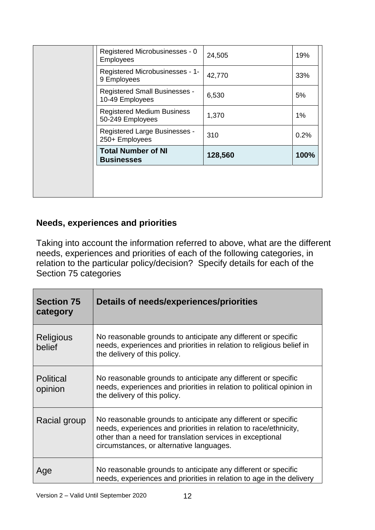| Registered Microbusinesses - 0<br>Employees             | 24,505  | 19%   |
|---------------------------------------------------------|---------|-------|
| Registered Microbusinesses - 1-<br>9 Employees          | 42,770  | 33%   |
| <b>Registered Small Businesses -</b><br>10-49 Employees | 6,530   | 5%    |
| <b>Registered Medium Business</b><br>50-249 Employees   | 1,370   | $1\%$ |
| Registered Large Businesses -<br>250+ Employees         | 310     | 0.2%  |
| <b>Total Number of NI</b><br><b>Businesses</b>          | 128,560 | 100%  |
|                                                         |         |       |
|                                                         |         |       |

## **Needs, experiences and priorities**

Taking into account the information referred to above, what are the different needs, experiences and priorities of each of the following categories, in relation to the particular policy/decision? Specify details for each of the Section 75 categories

| <b>Section 75</b><br>category | Details of needs/experiences/priorities                                                                                                                                                                                                    |
|-------------------------------|--------------------------------------------------------------------------------------------------------------------------------------------------------------------------------------------------------------------------------------------|
| <b>Religious</b><br>belief    | No reasonable grounds to anticipate any different or specific<br>needs, experiences and priorities in relation to religious belief in<br>the delivery of this policy.                                                                      |
| <b>Political</b><br>opinion   | No reasonable grounds to anticipate any different or specific<br>needs, experiences and priorities in relation to political opinion in<br>the delivery of this policy.                                                                     |
| Racial group                  | No reasonable grounds to anticipate any different or specific<br>needs, experiences and priorities in relation to race/ethnicity,<br>other than a need for translation services in exceptional<br>circumstances, or alternative languages. |
| Age                           | No reasonable grounds to anticipate any different or specific<br>needs, experiences and priorities in relation to age in the delivery                                                                                                      |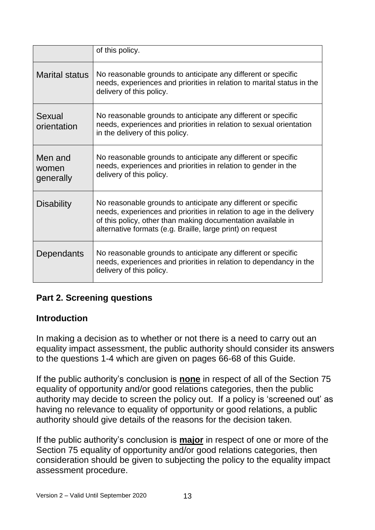|                               | of this policy.                                                                                                                                                                                                                                                     |
|-------------------------------|---------------------------------------------------------------------------------------------------------------------------------------------------------------------------------------------------------------------------------------------------------------------|
| <b>Marital status</b>         | No reasonable grounds to anticipate any different or specific<br>needs, experiences and priorities in relation to marital status in the<br>delivery of this policy.                                                                                                 |
| Sexual<br>orientation         | No reasonable grounds to anticipate any different or specific<br>needs, experiences and priorities in relation to sexual orientation<br>in the delivery of this policy.                                                                                             |
| Men and<br>women<br>generally | No reasonable grounds to anticipate any different or specific<br>needs, experiences and priorities in relation to gender in the<br>delivery of this policy.                                                                                                         |
| <b>Disability</b>             | No reasonable grounds to anticipate any different or specific<br>needs, experiences and priorities in relation to age in the delivery<br>of this policy, other than making documentation available in<br>alternative formats (e.g. Braille, large print) on request |
| Dependants                    | No reasonable grounds to anticipate any different or specific<br>needs, experiences and priorities in relation to dependancy in the<br>delivery of this policy.                                                                                                     |

## **Part 2. Screening questions**

## **Introduction**

In making a decision as to whether or not there is a need to carry out an equality impact assessment, the public authority should consider its answers to the questions 1-4 which are given on pages 66-68 of this Guide.

If the public authority's conclusion is **none** in respect of all of the Section 75 equality of opportunity and/or good relations categories, then the public authority may decide to screen the policy out. If a policy is 'screened out' as having no relevance to equality of opportunity or good relations, a public authority should give details of the reasons for the decision taken.

If the public authority's conclusion is **major** in respect of one or more of the Section 75 equality of opportunity and/or good relations categories, then consideration should be given to subjecting the policy to the equality impact assessment procedure.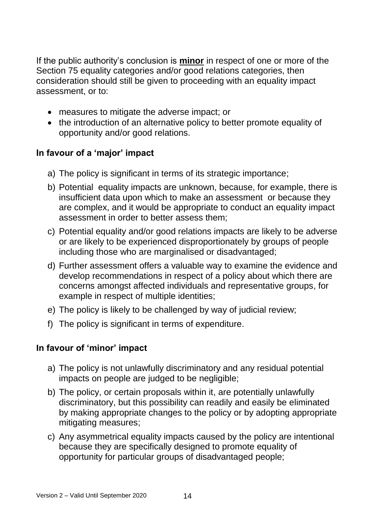If the public authority's conclusion is **minor** in respect of one or more of the Section 75 equality categories and/or good relations categories, then consideration should still be given to proceeding with an equality impact assessment, or to:

- measures to mitigate the adverse impact; or
- the introduction of an alternative policy to better promote equality of opportunity and/or good relations.

## **In favour of a 'major' impact**

- a) The policy is significant in terms of its strategic importance;
- b) Potential equality impacts are unknown, because, for example, there is insufficient data upon which to make an assessment or because they are complex, and it would be appropriate to conduct an equality impact assessment in order to better assess them;
- c) Potential equality and/or good relations impacts are likely to be adverse or are likely to be experienced disproportionately by groups of people including those who are marginalised or disadvantaged;
- d) Further assessment offers a valuable way to examine the evidence and develop recommendations in respect of a policy about which there are concerns amongst affected individuals and representative groups, for example in respect of multiple identities;
- e) The policy is likely to be challenged by way of judicial review;
- f) The policy is significant in terms of expenditure.

## **In favour of 'minor' impact**

- a) The policy is not unlawfully discriminatory and any residual potential impacts on people are judged to be negligible;
- b) The policy, or certain proposals within it, are potentially unlawfully discriminatory, but this possibility can readily and easily be eliminated by making appropriate changes to the policy or by adopting appropriate mitigating measures;
- c) Any asymmetrical equality impacts caused by the policy are intentional because they are specifically designed to promote equality of opportunity for particular groups of disadvantaged people;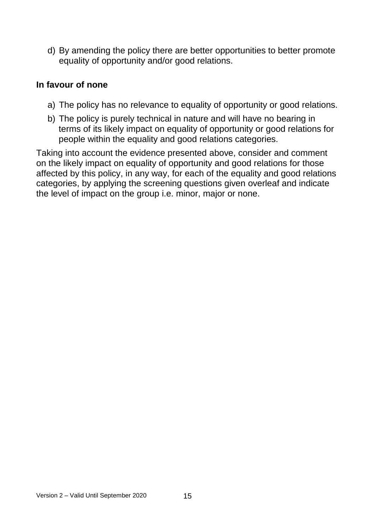d) By amending the policy there are better opportunities to better promote equality of opportunity and/or good relations.

### **In favour of none**

- a) The policy has no relevance to equality of opportunity or good relations.
- b) The policy is purely technical in nature and will have no bearing in terms of its likely impact on equality of opportunity or good relations for people within the equality and good relations categories.

Taking into account the evidence presented above, consider and comment on the likely impact on equality of opportunity and good relations for those affected by this policy, in any way, for each of the equality and good relations categories, by applying the screening questions given overleaf and indicate the level of impact on the group i.e. minor, major or none.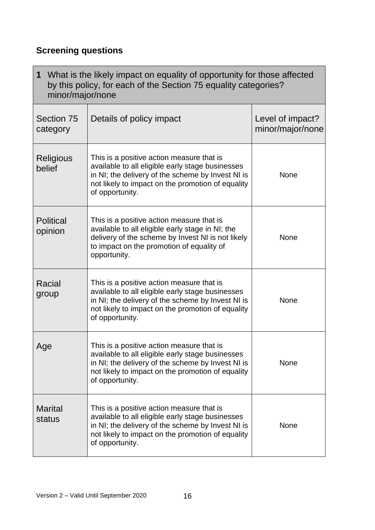## **Screening questions**

r

| 1<br>What is the likely impact on equality of opportunity for those affected<br>by this policy, for each of the Section 75 equality categories?<br>minor/major/none |                                                                                                                                                                                                                            |                                      |
|---------------------------------------------------------------------------------------------------------------------------------------------------------------------|----------------------------------------------------------------------------------------------------------------------------------------------------------------------------------------------------------------------------|--------------------------------------|
| Section 75<br>category                                                                                                                                              | Details of policy impact                                                                                                                                                                                                   | Level of impact?<br>minor/major/none |
| Religious<br>belief                                                                                                                                                 | This is a positive action measure that is<br>available to all eligible early stage businesses<br>in NI; the delivery of the scheme by Invest NI is<br>not likely to impact on the promotion of equality<br>of opportunity. | None                                 |
| <b>Political</b><br>opinion                                                                                                                                         | This is a positive action measure that is<br>available to all eligible early stage in NI; the<br>delivery of the scheme by Invest NI is not likely<br>to impact on the promotion of equality of<br>opportunity.            | None                                 |
| Racial<br>group                                                                                                                                                     | This is a positive action measure that is<br>available to all eligible early stage businesses<br>in NI; the delivery of the scheme by Invest NI is<br>not likely to impact on the promotion of equality<br>of opportunity. | None                                 |
| Age                                                                                                                                                                 | This is a positive action measure that is<br>available to all eligible early stage businesses<br>in NI; the delivery of the scheme by Invest NI is<br>not likely to impact on the promotion of equality<br>of opportunity. | None                                 |
| <b>Marital</b><br>status                                                                                                                                            | This is a positive action measure that is<br>available to all eligible early stage businesses<br>in NI; the delivery of the scheme by Invest NI is<br>not likely to impact on the promotion of equality<br>of opportunity. | None                                 |

 $\overline{1}$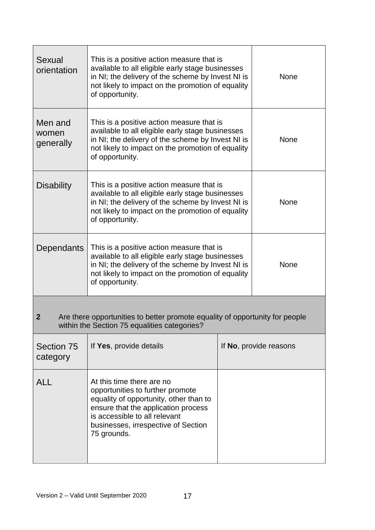| <b>Sexual</b><br>orientation                                                                                                                     | This is a positive action measure that is<br>available to all eligible early stage businesses<br>in NI; the delivery of the scheme by Invest NI is<br>not likely to impact on the promotion of equality<br>of opportunity.            | None        |                        |  |
|--------------------------------------------------------------------------------------------------------------------------------------------------|---------------------------------------------------------------------------------------------------------------------------------------------------------------------------------------------------------------------------------------|-------------|------------------------|--|
| Men and<br>women<br>generally                                                                                                                    | This is a positive action measure that is<br>available to all eligible early stage businesses<br>in NI; the delivery of the scheme by Invest NI is<br>not likely to impact on the promotion of equality<br>of opportunity.            | None        |                        |  |
| <b>Disability</b>                                                                                                                                | This is a positive action measure that is<br>available to all eligible early stage businesses<br>in NI; the delivery of the scheme by Invest NI is<br>not likely to impact on the promotion of equality<br>of opportunity.            | <b>None</b> |                        |  |
| Dependants                                                                                                                                       | This is a positive action measure that is<br>available to all eligible early stage businesses<br>in NI; the delivery of the scheme by Invest NI is<br>not likely to impact on the promotion of equality<br>of opportunity.            |             | None                   |  |
| Are there opportunities to better promote equality of opportunity for people<br>$\boldsymbol{2}$<br>within the Section 75 equalities categories? |                                                                                                                                                                                                                                       |             |                        |  |
| Section 75<br>category                                                                                                                           | If Yes, provide details                                                                                                                                                                                                               |             | If No, provide reasons |  |
| <b>ALL</b>                                                                                                                                       | At this time there are no<br>opportunities to further promote<br>equality of opportunity, other than to<br>ensure that the application process<br>is accessible to all relevant<br>businesses, irrespective of Section<br>75 grounds. |             |                        |  |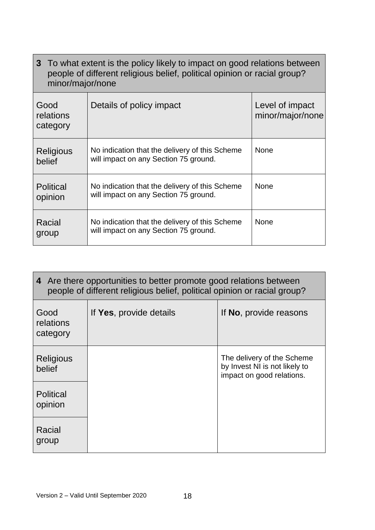|                               | 3 To what extent is the policy likely to impact on good relations between<br>people of different religious belief, political opinion or racial group?<br>minor/major/none |                                     |  |
|-------------------------------|---------------------------------------------------------------------------------------------------------------------------------------------------------------------------|-------------------------------------|--|
| Good<br>relations<br>category | Details of policy impact                                                                                                                                                  | Level of impact<br>minor/major/none |  |
| Religious<br>belief           | No indication that the delivery of this Scheme<br>will impact on any Section 75 ground.                                                                                   | <b>None</b>                         |  |
| <b>Political</b><br>opinion   | No indication that the delivery of this Scheme<br>will impact on any Section 75 ground.                                                                                   | <b>None</b>                         |  |
| Racial<br>group               | No indication that the delivery of this Scheme<br>will impact on any Section 75 ground.                                                                                   | <b>None</b>                         |  |

| 4 Are there opportunities to better promote good relations between<br>people of different religious belief, political opinion or racial group? |                         |                                                                                          |  |
|------------------------------------------------------------------------------------------------------------------------------------------------|-------------------------|------------------------------------------------------------------------------------------|--|
| Good<br>relations<br>category                                                                                                                  | If Yes, provide details | If No, provide reasons                                                                   |  |
| Religious<br>belief                                                                                                                            |                         | The delivery of the Scheme<br>by Invest NI is not likely to<br>impact on good relations. |  |
| <b>Political</b><br>opinion                                                                                                                    |                         |                                                                                          |  |
| Racial<br>group                                                                                                                                |                         |                                                                                          |  |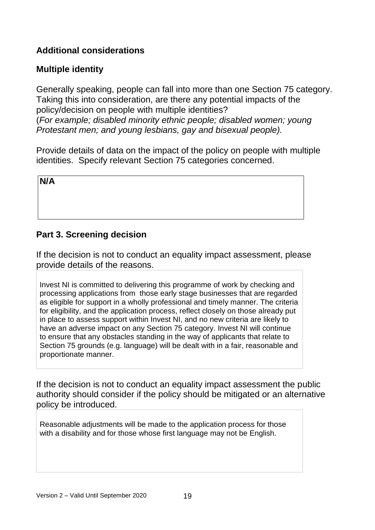## **Additional considerations**

## **Multiple identity**

Generally speaking, people can fall into more than one Section 75 category. Taking this into consideration, are there any potential impacts of the policy/decision on people with multiple identities? (*For example; disabled minority ethnic people; disabled women; young Protestant men; and young lesbians, gay and bisexual people).*

Provide details of data on the impact of the policy on people with multiple identities. Specify relevant Section 75 categories concerned.

**N/A**

## **Part 3. Screening decision**

If the decision is not to conduct an equality impact assessment, please provide details of the reasons.

Invest NI is committed to delivering this programme of work by checking and processing applications from those early stage businesses that are regarded as eligible for support in a wholly professional and timely manner. The criteria for eligibility, and the application process, reflect closely on those already put in place to assess support within Invest NI, and no new criteria are likely to have an adverse impact on any Section 75 category. Invest NI will continue to ensure that any obstacles standing in the way of applicants that relate to Section 75 grounds (e.g. language) will be dealt with in a fair, reasonable and proportionate manner.

If the decision is not to conduct an equality impact assessment the public authority should consider if the policy should be mitigated or an alternative policy be introduced.

Reasonable adjustments will be made to the application process for those with a disability and for those whose first language may not be English.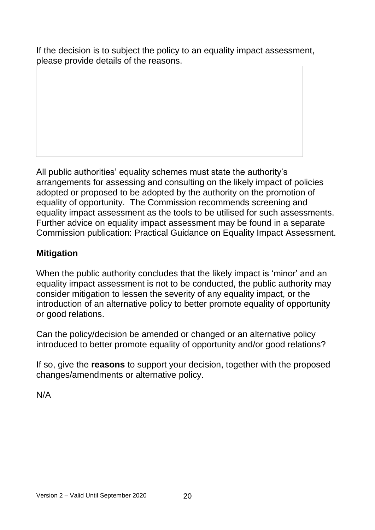If the decision is to subject the policy to an equality impact assessment, please provide details of the reasons.

All public authorities' equality schemes must state the authority's arrangements for assessing and consulting on the likely impact of policies adopted or proposed to be adopted by the authority on the promotion of equality of opportunity. The Commission recommends screening and equality impact assessment as the tools to be utilised for such assessments. Further advice on equality impact assessment may be found in a separate Commission publication: Practical Guidance on Equality Impact Assessment.

## **Mitigation**

When the public authority concludes that the likely impact is 'minor' and an equality impact assessment is not to be conducted, the public authority may consider mitigation to lessen the severity of any equality impact, or the introduction of an alternative policy to better promote equality of opportunity or good relations.

Can the policy/decision be amended or changed or an alternative policy introduced to better promote equality of opportunity and/or good relations?

If so, give the **reasons** to support your decision, together with the proposed changes/amendments or alternative policy.

N/A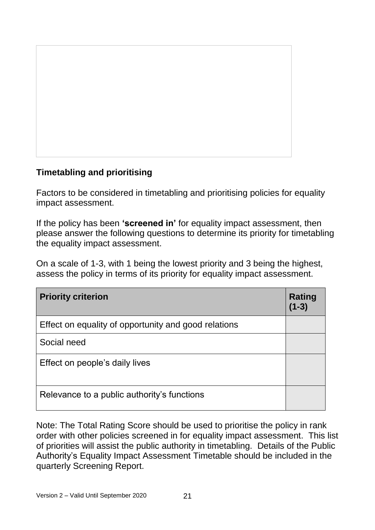

## **Timetabling and prioritising**

Factors to be considered in timetabling and prioritising policies for equality impact assessment.

If the policy has been **'screened in'** for equality impact assessment, then please answer the following questions to determine its priority for timetabling the equality impact assessment.

On a scale of 1-3, with 1 being the lowest priority and 3 being the highest, assess the policy in terms of its priority for equality impact assessment.

| <b>Priority criterion</b>                            | Rating<br>$(1 - 3)$ |
|------------------------------------------------------|---------------------|
| Effect on equality of opportunity and good relations |                     |
| Social need                                          |                     |
| Effect on people's daily lives                       |                     |
| Relevance to a public authority's functions          |                     |

Note: The Total Rating Score should be used to prioritise the policy in rank order with other policies screened in for equality impact assessment. This list of priorities will assist the public authority in timetabling. Details of the Public Authority's Equality Impact Assessment Timetable should be included in the quarterly Screening Report.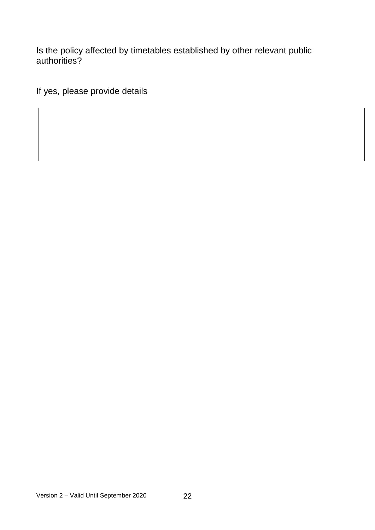Is the policy affected by timetables established by other relevant public authorities?

If yes, please provide details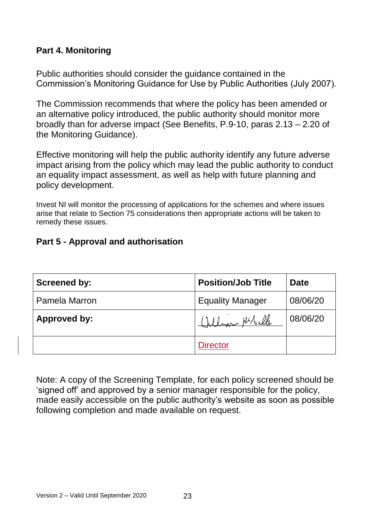## **Part 4. Monitoring**

Public authorities should consider the guidance contained in the Commission's Monitoring Guidance for Use by Public Authorities (July 2007).

The Commission recommends that where the policy has been amended or an alternative policy introduced, the public authority should monitor more broadly than for adverse impact (See Benefits, P.9-10, paras 2.13 – 2.20 of the Monitoring Guidance).

Effective monitoring will help the public authority identify any future adverse impact arising from the policy which may lead the public authority to conduct an equality impact assessment, as well as help with future planning and policy development.

Invest NI will monitor the processing of applications for the schemes and where issues arise that relate to Section 75 considerations then appropriate actions will be taken to remedy these issues.

## **Part 5 - Approval and authorisation**

| <b>Screened by:</b> | <b>Position/Job Title</b> | <b>Date</b> |
|---------------------|---------------------------|-------------|
| Pamela Marron       | <b>Equality Manager</b>   | 08/06/20    |
| Approved by:        | lon Melule                | 08/06/20    |
|                     | <b>Director</b>           |             |

Note: A copy of the Screening Template, for each policy screened should be 'signed off' and approved by a senior manager responsible for the policy, made easily accessible on the public authority's website as soon as possible following completion and made available on request.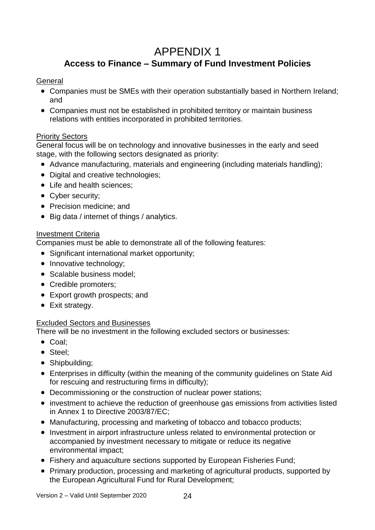## APPENDIX 1 **Access to Finance – Summary of Fund Investment Policies**

### **General**

- Companies must be SMEs with their operation substantially based in Northern Ireland; and
- Companies must not be established in prohibited territory or maintain business relations with entities incorporated in prohibited territories.

### Priority Sectors

General focus will be on technology and innovative businesses in the early and seed stage, with the following sectors designated as priority:

- Advance manufacturing, materials and engineering (including materials handling);
- Digital and creative technologies;
- Life and health sciences:
- Cyber security;
- Precision medicine: and
- Big data / internet of things / analytics.

### Investment Criteria

Companies must be able to demonstrate all of the following features:

- Significant international market opportunity;
- Innovative technology;
- Scalable business model;
- Credible promoters:
- Export growth prospects; and
- Exit strategy.

### Excluded Sectors and Businesses

There will be no investment in the following excluded sectors or businesses:

- Coal:
- Steel:
- Shipbuilding;
- Enterprises in difficulty (within the meaning of the community guidelines on State Aid for rescuing and restructuring firms in difficulty);
- Decommissioning or the construction of nuclear power stations;
- investment to achieve the reduction of greenhouse gas emissions from activities listed in Annex 1 to Directive 2003/87/EC;
- Manufacturing, processing and marketing of tobacco and tobacco products;
- Investment in airport infrastructure unless related to environmental protection or accompanied by investment necessary to mitigate or reduce its negative environmental impact;
- Fishery and aquaculture sections supported by European Fisheries Fund;
- Primary production, processing and marketing of agricultural products, supported by the European Agricultural Fund for Rural Development;